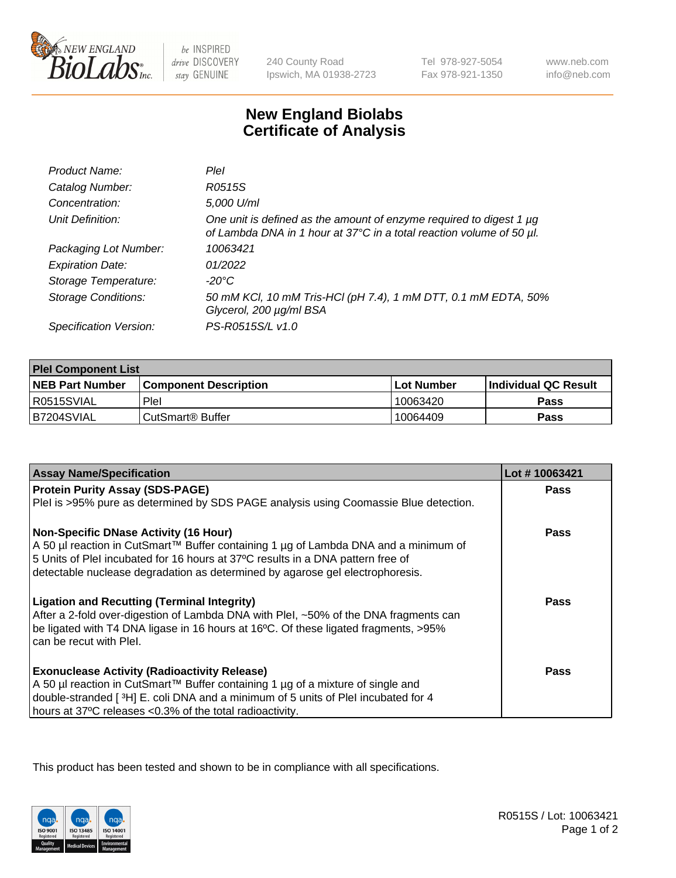

 $be$  INSPIRED drive DISCOVERY stay GENUINE

240 County Road Ipswich, MA 01938-2723 Tel 978-927-5054 Fax 978-921-1350

www.neb.com info@neb.com

## **New England Biolabs Certificate of Analysis**

| Product Name:              | Plel                                                                                                                                        |
|----------------------------|---------------------------------------------------------------------------------------------------------------------------------------------|
| Catalog Number:            | R0515S                                                                                                                                      |
| Concentration:             | 5,000 U/ml                                                                                                                                  |
| Unit Definition:           | One unit is defined as the amount of enzyme required to digest 1 µg<br>of Lambda DNA in 1 hour at 37°C in a total reaction volume of 50 µl. |
| Packaging Lot Number:      | 10063421                                                                                                                                    |
| <b>Expiration Date:</b>    | 01/2022                                                                                                                                     |
| Storage Temperature:       | -20°C                                                                                                                                       |
| <b>Storage Conditions:</b> | 50 mM KCl, 10 mM Tris-HCl (pH 7.4), 1 mM DTT, 0.1 mM EDTA, 50%<br>Glycerol, 200 µg/ml BSA                                                   |
| Specification Version:     | PS-R0515S/L v1.0                                                                                                                            |

| <b>Plel Component List</b> |                              |              |                             |  |  |
|----------------------------|------------------------------|--------------|-----------------------------|--|--|
| <b>NEB Part Number</b>     | <b>Component Description</b> | l Lot Number | <b>Individual QC Result</b> |  |  |
| I R0515SVIAL               | <b>Plel</b>                  | 10063420     | Pass                        |  |  |
| IB7204SVIAL                | CutSmart® Buffer             | 10064409     | Pass                        |  |  |

| <b>Assay Name/Specification</b>                                                                                                                                                                                                                                                                         | Lot #10063421 |
|---------------------------------------------------------------------------------------------------------------------------------------------------------------------------------------------------------------------------------------------------------------------------------------------------------|---------------|
| <b>Protein Purity Assay (SDS-PAGE)</b>                                                                                                                                                                                                                                                                  | <b>Pass</b>   |
| PleI is >95% pure as determined by SDS PAGE analysis using Coomassie Blue detection.                                                                                                                                                                                                                    |               |
| <b>Non-Specific DNase Activity (16 Hour)</b><br>A 50 µl reaction in CutSmart™ Buffer containing 1 µg of Lambda DNA and a minimum of<br>5 Units of PleI incubated for 16 hours at 37°C results in a DNA pattern free of<br>detectable nuclease degradation as determined by agarose gel electrophoresis. | Pass          |
| <b>Ligation and Recutting (Terminal Integrity)</b><br>After a 2-fold over-digestion of Lambda DNA with Plel, ~50% of the DNA fragments can<br>be ligated with T4 DNA ligase in 16 hours at 16°C. Of these ligated fragments, >95%<br>can be recut with Plel.                                            | Pass          |
| <b>Exonuclease Activity (Radioactivity Release)</b><br>A 50 µl reaction in CutSmart™ Buffer containing 1 µg of a mixture of single and<br>double-stranded [3H] E. coli DNA and a minimum of 5 units of PleI incubated for 4<br>hours at 37°C releases <0.3% of the total radioactivity.                 | Pass          |

This product has been tested and shown to be in compliance with all specifications.